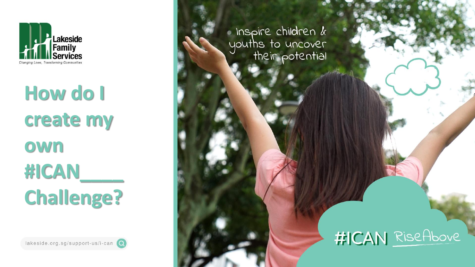

# **How do I create my own #ICAN\_\_\_\_ Challenge?**



 $\blacksquare$  Inspire children  $k$ youths to uncover<br>their potential

## #ICAN RiseAbove

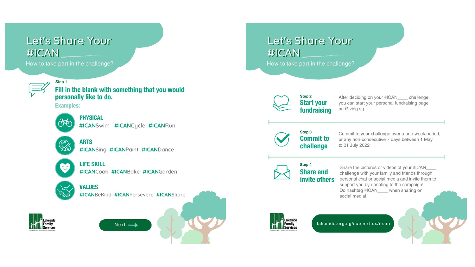## **Let's Share Your** #ICAN

How to take part in the challenge?



Step 1 Fill in the blank with something that you would personally like to do.

**Examples:** 



#### **PHYSICAL**

#ICANSwim #ICANCucle #ICANRun



**ARTS** #ICANSing #ICANPaint #ICANDance



#### **LIFE SKILL**

#ICANCook #ICANBake #ICANGarden



#### **VALUES**

#ICANBeKind #ICANPersevere #ICANShare

 $Next -$ 



## **Let's Share Your** #ICAN

How to take part in the challenge?



After deciding on your #ICAN\_\_\_\_ challenge, you can start your personal fundraising page on Giving.sg



#### Step 3 **Commit to** challenge

Commit to your challenge over a one-week period, or any non-consecutive 7 days between 1 May to 31 July 2022



#### Step 4 **Share and** invite others

Share the pictures or videos of your #ICAN challenge with your family and friends through personal chat or social media and invite them to support you by donating to the campaign! Do hashtag #ICAN\_\_\_\_ when sharing on social media!



lakeside.org.sg/support-us/i-can

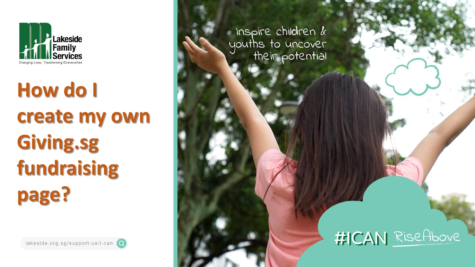

# **How do I create my own Giving.sg fundraising page?**





Inspire children  $k$ youths to uncover<br>their potential

## #ICAN RiseAbove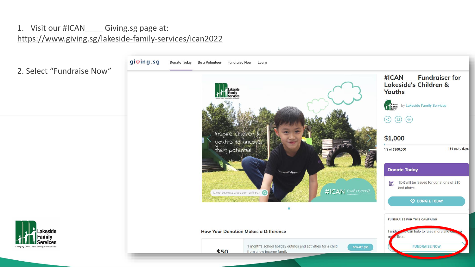### 1. Visit our #ICAN\_\_\_\_ Giving.sg page at: <https://www.giving.sg/lakeside-family-services/ican2022>

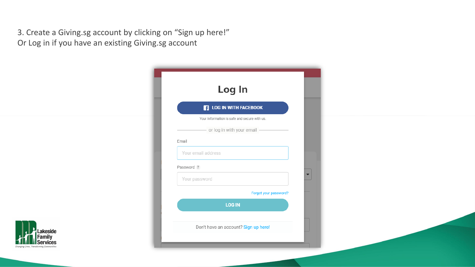3. Create a Giving.sg account by clicking on "Sign up here!"

Or Log in if you have an existing Giving.sg account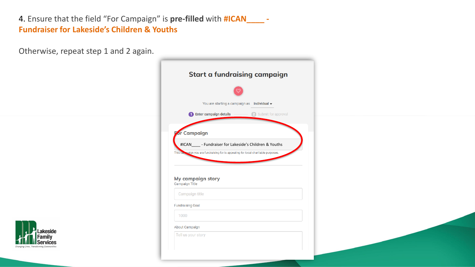4. Ensure that the field "For Campaign" is **pre-filled** with **#ICAN\_\_\_\_ - Fundraiser for Lakeside's Children & Youths**

Otherwise, repeat step 1 and 2 again.



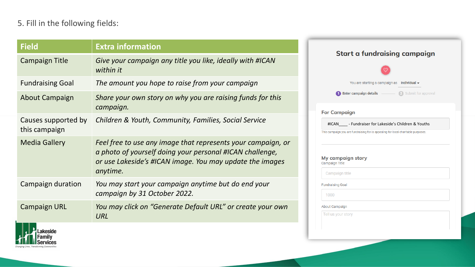### 5. Fill in the following fields:

| <b>Field</b>                         | <b>Extra information</b>                                                                                                                                                                         |
|--------------------------------------|--------------------------------------------------------------------------------------------------------------------------------------------------------------------------------------------------|
| <b>Campaign Title</b>                | Give your campaign any title you like, ideally with #ICAN<br>within it                                                                                                                           |
| <b>Fundraising Goal</b>              | The amount you hope to raise from your campaign                                                                                                                                                  |
| <b>About Campaign</b>                | Share your own story on why you are raising funds for this<br>campaign.                                                                                                                          |
| Causes supported by<br>this campaign | Children & Youth, Community, Families, Social Service                                                                                                                                            |
| <b>Media Gallery</b>                 | Feel free to use any image that represents your campaign, or<br>a photo of yourself doing your personal #ICAN challenge,<br>or use Lakeside's #ICAN image. You may update the images<br>anytime. |
| Campaign duration                    | You may start your campaign anytime but do end your<br>campaign by 31 October 2022.                                                                                                              |
| <b>Campaign URL</b>                  | You may click on "Generate Default URL" or create your own<br>URL                                                                                                                                |
|                                      |                                                                                                                                                                                                  |

## **Start a fundraising campaign** You are starting a campaign as Individual v 2 Submit for approval Enter campaign details Campaign #ICAN\_\_\_\_ - Fundraiser for Lakeside's Children & Youthsampaign you are fundraising for is appealing for local charitable purposes. campaign story paign Title ampaign title raising Goal  $000$ t Campaign l us your story